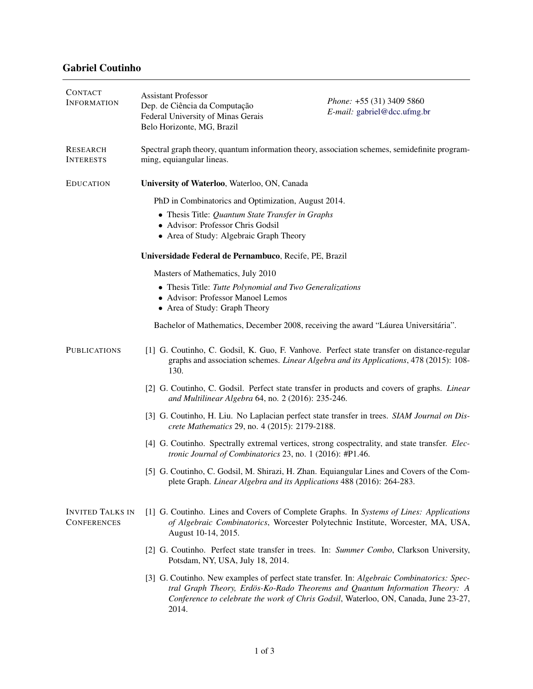## Gabriel Coutinho

| <b>CONTACT</b><br><b>INFORMATION</b>          | <b>Assistant Professor</b><br>Dep. de Ciência da Computação<br>Federal University of Minas Gerais<br>Belo Horizonte, MG, Brazil                                                                                                                                   | Phone: +55 (31) 3409 5860<br>E-mail: gabriel@dcc.ufmg.br                                  |  |  |
|-----------------------------------------------|-------------------------------------------------------------------------------------------------------------------------------------------------------------------------------------------------------------------------------------------------------------------|-------------------------------------------------------------------------------------------|--|--|
| <b>RESEARCH</b><br><b>INTERESTS</b>           | Spectral graph theory, quantum information theory, association schemes, semidefinite program-<br>ming, equiangular lineas.                                                                                                                                        |                                                                                           |  |  |
| <b>EDUCATION</b>                              | University of Waterloo, Waterloo, ON, Canada                                                                                                                                                                                                                      |                                                                                           |  |  |
|                                               | PhD in Combinatorics and Optimization, August 2014.                                                                                                                                                                                                               |                                                                                           |  |  |
|                                               | • Thesis Title: Quantum State Transfer in Graphs<br>· Advisor: Professor Chris Godsil<br>• Area of Study: Algebraic Graph Theory                                                                                                                                  |                                                                                           |  |  |
|                                               | Universidade Federal de Pernambuco, Recife, PE, Brazil                                                                                                                                                                                                            |                                                                                           |  |  |
|                                               | Masters of Mathematics, July 2010                                                                                                                                                                                                                                 |                                                                                           |  |  |
|                                               | • Thesis Title: Tutte Polynomial and Two Generalizations<br>• Advisor: Professor Manoel Lemos<br>• Area of Study: Graph Theory                                                                                                                                    |                                                                                           |  |  |
|                                               | Bachelor of Mathematics, December 2008, receiving the award "Láurea Universitária".                                                                                                                                                                               |                                                                                           |  |  |
| <b>PUBLICATIONS</b>                           | [1] G. Coutinho, C. Godsil, K. Guo, F. Vanhove. Perfect state transfer on distance-regular<br>graphs and association schemes. Linear Algebra and its Applications, 478 (2015): 108-<br>130.                                                                       |                                                                                           |  |  |
|                                               | [2] G. Coutinho, C. Godsil. Perfect state transfer in products and covers of graphs. Linear<br>and Multilinear Algebra 64, no. 2 (2016): 235-246.                                                                                                                 |                                                                                           |  |  |
|                                               | [3] G. Coutinho, H. Liu. No Laplacian perfect state transfer in trees. SIAM Journal on Dis-<br>crete Mathematics 29, no. 4 (2015): 2179-2188.                                                                                                                     |                                                                                           |  |  |
|                                               | [4] G. Coutinho. Spectrally extremal vertices, strong cospectrality, and state transfer. <i>Elec</i> -<br>tronic Journal of Combinatorics 23, no. 1 (2016): #P1.46.                                                                                               |                                                                                           |  |  |
|                                               | plete Graph. Linear Algebra and its Applications 488 (2016): 264-283.                                                                                                                                                                                             | [5] G. Coutinho, C. Godsil, M. Shirazi, H. Zhan. Equiangular Lines and Covers of the Com- |  |  |
| <b>INVITED TALKS IN</b><br><b>CONFERENCES</b> | [1] G. Coutinho. Lines and Covers of Complete Graphs. In Systems of Lines: Applications<br>of Algebraic Combinatorics, Worcester Polytechnic Institute, Worcester, MA, USA,<br>August 10-14, 2015.                                                                |                                                                                           |  |  |
|                                               | [2] G. Coutinho. Perfect state transfer in trees. In: Summer Combo, Clarkson University,<br>Potsdam, NY, USA, July 18, 2014.                                                                                                                                      |                                                                                           |  |  |
|                                               | [3] G. Coutinho. New examples of perfect state transfer. In: Algebraic Combinatorics: Spec-<br>tral Graph Theory, Erdös-Ko-Rado Theorems and Quantum Information Theory: A<br>Conference to celebrate the work of Chris Godsil, Waterloo, ON, Canada, June 23-27, |                                                                                           |  |  |

2014.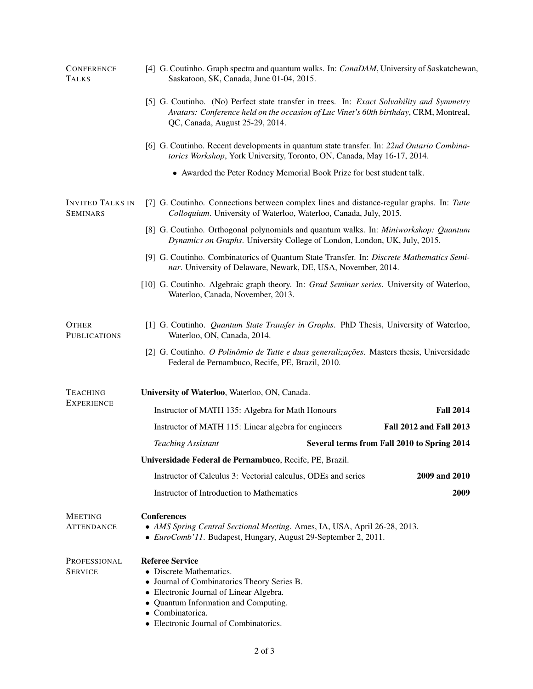| <b>CONFERENCE</b><br><b>TALKS</b>          | [4] G. Coutinho. Graph spectra and quantum walks. In: CanaDAM, University of Saskatchewan,<br>Saskatoon, SK, Canada, June 01-04, 2015.                                                                                                        |  |                                             |  |
|--------------------------------------------|-----------------------------------------------------------------------------------------------------------------------------------------------------------------------------------------------------------------------------------------------|--|---------------------------------------------|--|
|                                            | [5] G. Coutinho. (No) Perfect state transfer in trees. In: Exact Solvability and Symmetry<br>Avatars: Conference held on the occasion of Luc Vinet's 60th birthday, CRM, Montreal,<br>QC, Canada, August 25-29, 2014.                         |  |                                             |  |
|                                            | [6] G. Coutinho. Recent developments in quantum state transfer. In: 22nd Ontario Combina-<br>torics Workshop, York University, Toronto, ON, Canada, May 16-17, 2014.                                                                          |  |                                             |  |
|                                            | • Awarded the Peter Rodney Memorial Book Prize for best student talk.                                                                                                                                                                         |  |                                             |  |
| <b>INVITED TALKS IN</b><br><b>SEMINARS</b> | [7] G. Coutinho. Connections between complex lines and distance-regular graphs. In: Tutte<br>Colloquium. University of Waterloo, Waterloo, Canada, July, 2015.                                                                                |  |                                             |  |
|                                            | [8] G. Coutinho. Orthogonal polynomials and quantum walks. In: Miniworkshop: Quantum<br>Dynamics on Graphs. University College of London, London, UK, July, 2015.                                                                             |  |                                             |  |
|                                            | [9] G. Coutinho. Combinatorics of Quantum State Transfer. In: Discrete Mathematics Semi-<br>nar. University of Delaware, Newark, DE, USA, November, 2014.                                                                                     |  |                                             |  |
|                                            | [10] G. Coutinho. Algebraic graph theory. In: Grad Seminar series. University of Waterloo,<br>Waterloo, Canada, November, 2013.                                                                                                               |  |                                             |  |
| <b>OTHER</b><br><b>PUBLICATIONS</b>        | [1] G. Coutinho. Quantum State Transfer in Graphs. PhD Thesis, University of Waterloo,<br>Waterloo, ON, Canada, 2014.                                                                                                                         |  |                                             |  |
|                                            | [2] G. Coutinho. O Polinômio de Tutte e duas generalizações. Masters thesis, Universidade<br>Federal de Pernambuco, Recife, PE, Brazil, 2010.                                                                                                 |  |                                             |  |
| <b>TEACHING</b><br><b>EXPERIENCE</b>       | University of Waterloo, Waterloo, ON, Canada.                                                                                                                                                                                                 |  |                                             |  |
|                                            | Instructor of MATH 135: Algebra for Math Honours                                                                                                                                                                                              |  | <b>Fall 2014</b>                            |  |
|                                            | Instructor of MATH 115: Linear algebra for engineers                                                                                                                                                                                          |  | <b>Fall 2012 and Fall 2013</b>              |  |
|                                            | <b>Teaching Assistant</b>                                                                                                                                                                                                                     |  | Several terms from Fall 2010 to Spring 2014 |  |
|                                            | Universidade Federal de Pernambuco, Recife, PE, Brazil.                                                                                                                                                                                       |  |                                             |  |
|                                            | Instructor of Calculus 3: Vectorial calculus, ODEs and series                                                                                                                                                                                 |  | 2009 and 2010                               |  |
|                                            | Instructor of Introduction to Mathematics                                                                                                                                                                                                     |  | 2009                                        |  |
| <b>MEETING</b><br>ATTENDANCE               | <b>Conferences</b><br>• AMS Spring Central Sectional Meeting. Ames, IA, USA, April 26-28, 2013.<br>• EuroComb'11. Budapest, Hungary, August 29-September 2, 2011.                                                                             |  |                                             |  |
| PROFESSIONAL<br><b>SERVICE</b>             | <b>Referee Service</b><br>• Discrete Mathematics.<br>• Journal of Combinatorics Theory Series B.<br>• Electronic Journal of Linear Algebra.<br>• Quantum Information and Computing.<br>Combinatorica.<br>Electronic Journal of Combinatorics. |  |                                             |  |